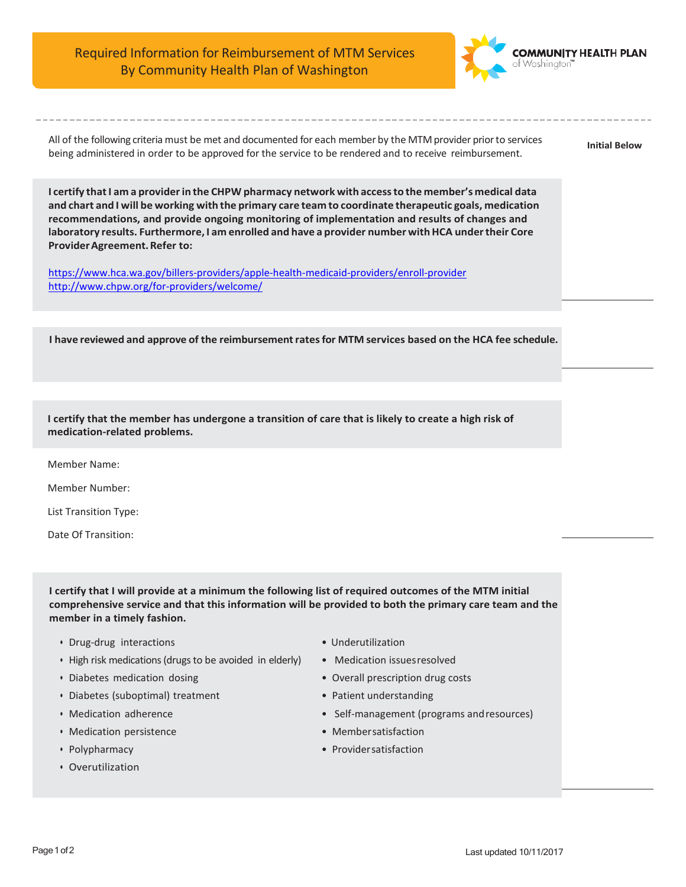Required Information for Reimbursement of MTM Services By Community Health Plan of Washington



All of the following criteria must be met and documented for each member by the MTM provider priorto services being administered in order to be approved for the service to be rendered and to receive reimbursement.

**Initial Below**

**I certify that I am a providerin the CHPW pharmacy network with accessto the member's medical data and chart and I will be working with the primary care team to coordinate therapeutic goals, medication recommendations, and provide ongoing monitoring of implementation and results of changes and laboratory results. Furthermore, I am enrolled and have a provider number withHCA undertheir Core ProviderAgreement.Refer to:**

<https://www.hca.wa.gov/billers-providers/apple-health-medicaid-providers/enroll-provider> <http://www.chpw.org/for-providers/welcome/>

**I have reviewed and approve of the reimbursementratesfor MTM services based on the HCA fee schedule.**

**I certify that the member has undergone a transition of care that is likely to create a high risk of medication-related problems.**

Member Name:

Member Number:

List Transition Type:

Date Of Transition:

**I certify that I will provide at a minimum the following list of required outcomes of the MTM initial comprehensive service and that this information will be provided to both the primary care team and the member in a timely fashion.**

- Drug-drug interactions Underutilization
- High risk medications (drugs to be avoided in elderly) Medication issuesresolved
- 
- Diabetes (suboptimal) treatment Patient understanding
- 
- Medication persistence Membersatisfaction
- 
- Overutilization
- 
- 
- Diabetes medication dosing Overall prescription drug costs
	-
- Medication adherence Self-management (programs and resources)
	-
- Polypharmacy Providersatisfaction